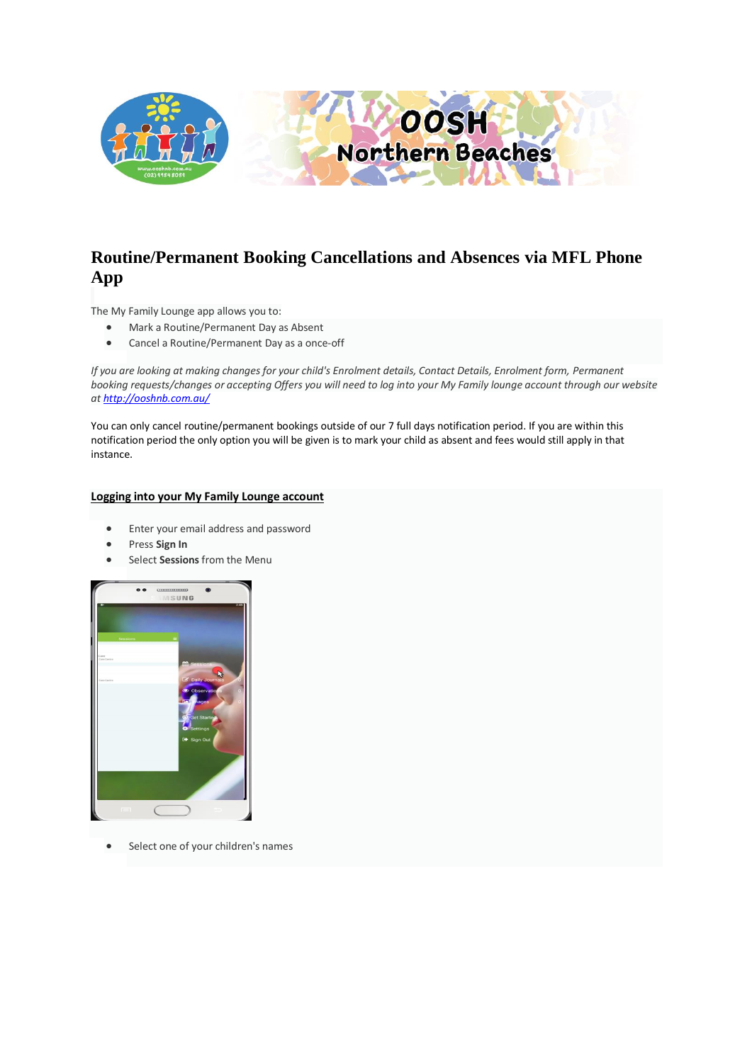

# **Routine/Permanent Booking Cancellations and Absences via MFL Phone App**

The My Family Lounge app allows you to:

- Mark a Routine/Permanent Day as Absent
- Cancel a Routine/Permanent Day as a once-off

*If you are looking at making changes for your child's Enrolment details, Contact Details, Enrolment form, Permanent booking requests/changes or accepting Offers you will need to log into your My Family lounge account through our website at <http://ooshnb.com.au/>*

You can only cancel routine/permanent bookings outside of our 7 full days notification period. If you are within this notification period the only option you will be given is to mark your child as absent and fees would still apply in that instance.

#### **Logging into your My Family Lounge account**

- Enter your email address and password
- Press **Sign In**
- Select **Sessions** from the Menu



Select one of your children's names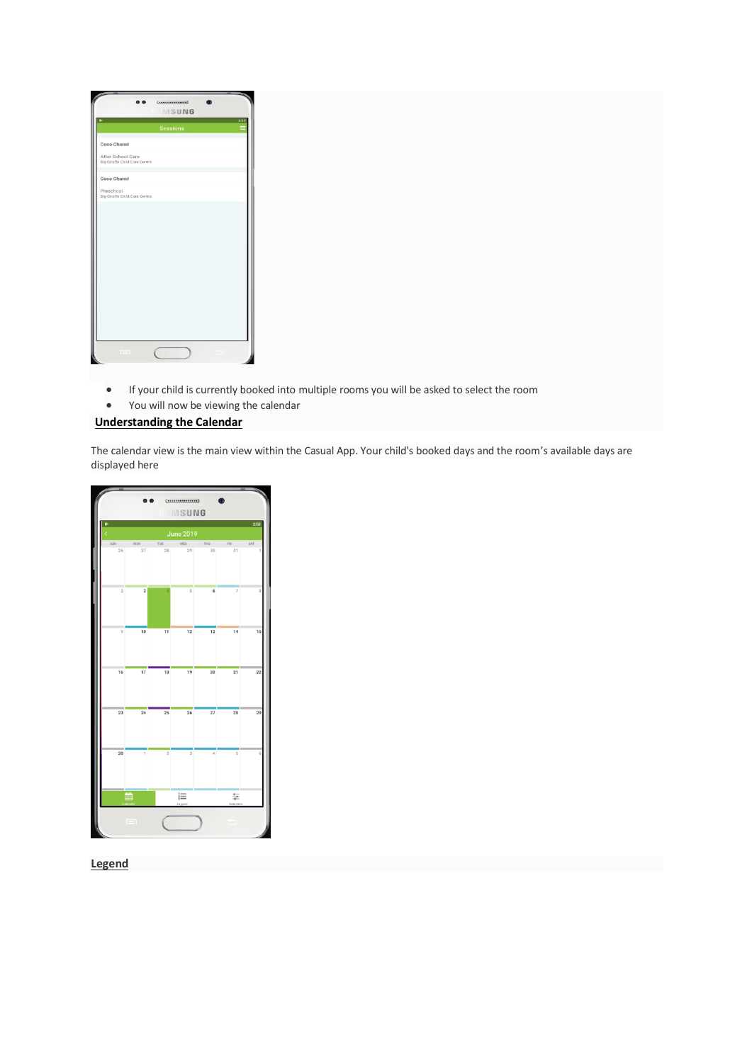|                                                    | Sessions |  |  |
|----------------------------------------------------|----------|--|--|
| Coco Chanel                                        |          |  |  |
| After School Care<br>Big Giraffe Child Care Centre |          |  |  |
| Coco Chanel                                        |          |  |  |
| Preschool<br>Big Giraffe Child Care Centre         |          |  |  |
|                                                    |          |  |  |
|                                                    |          |  |  |
|                                                    |          |  |  |
|                                                    |          |  |  |
|                                                    |          |  |  |
|                                                    |          |  |  |
|                                                    |          |  |  |
|                                                    |          |  |  |
|                                                    |          |  |  |

- If your child is currently booked into multiple rooms you will be asked to select the room
- You will now be viewing the calendar

### **Understanding the Calendar**

The calendar view is the main view within the Casual App. Your child's booked days and the room's available days are displayed here



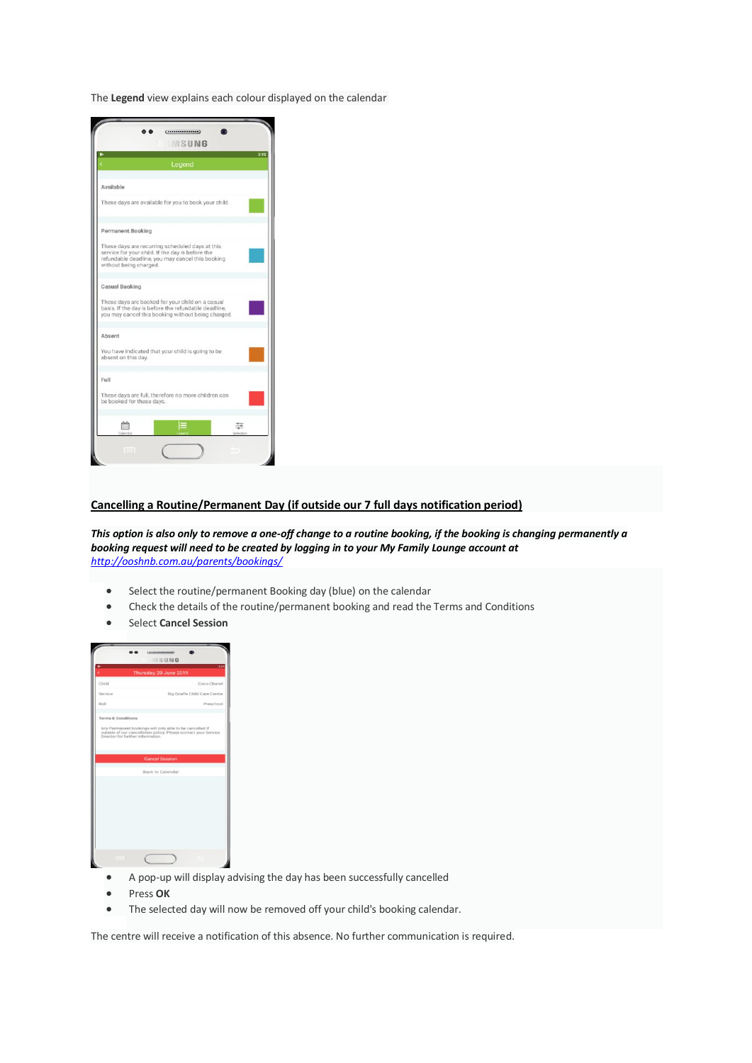The **Legend** view explains each colour displayed on the calendar

|           |                                                                                                                                                                                   | $( \dots \dots \dots \dots )$<br>MSUNG |   |      |
|-----------|-----------------------------------------------------------------------------------------------------------------------------------------------------------------------------------|----------------------------------------|---|------|
|           |                                                                                                                                                                                   | Legend                                 |   | 3:15 |
| Available |                                                                                                                                                                                   |                                        |   |      |
|           | These days are available for you to book your child.                                                                                                                              |                                        |   |      |
|           | Permanent Booking                                                                                                                                                                 |                                        |   |      |
|           | These days are recurring scheduled days at this<br>service for your child. If the day is before the<br>refundable deadline, you may cancel this booking<br>without being charged. |                                        |   |      |
|           | Casual Booking                                                                                                                                                                    |                                        |   |      |
|           | These days are booked for your child on a casual<br>basis. If the day is before the refundable deadline,<br>you may cancel this booking without being charged.                    |                                        |   |      |
| Absent    |                                                                                                                                                                                   |                                        |   |      |
|           | You have indicated that your child is going to be<br>absent on this day.                                                                                                          |                                        |   |      |
| Full      |                                                                                                                                                                                   |                                        |   |      |
|           | These days are full, therefore no more children can<br>be booked for these days.                                                                                                  |                                        |   |      |
|           |                                                                                                                                                                                   |                                        | ≈ |      |
|           |                                                                                                                                                                                   |                                        |   |      |

### **Cancelling a Routine/Permanent Day (if outside our 7 full days notification period)**

*This option is also only to remove a one-off change to a routine booking, if the booking is changing permanently a booking request will need to be created by logging in to your My Family Lounge account at <http://ooshnb.com.au/parents/bookings/>*

- Select the routine/permanent Booking day (blue) on the calendar
- Check the details of the routine/permanent booking and read the Terms and Conditions
- Select **Cancel Session**

|         | MSUNG                                     |
|---------|-------------------------------------------|
|         | 324<br>Thursday, 20 June 2019             |
| Child   | Coco Chanel                               |
| Service | Big Giraffe Child Care Centre             |
| Roll    | Preschool                                 |
|         | Director for further information.         |
|         |                                           |
|         | <b>Cancel Session</b><br>Back to Calendar |
|         |                                           |
|         |                                           |
|         |                                           |
|         |                                           |

- A pop-up will display advising the day has been successfully cancelled
- Press **OK**
- The selected day will now be removed off your child's booking calendar.

The centre will receive a notification of this absence. No further communication is required.